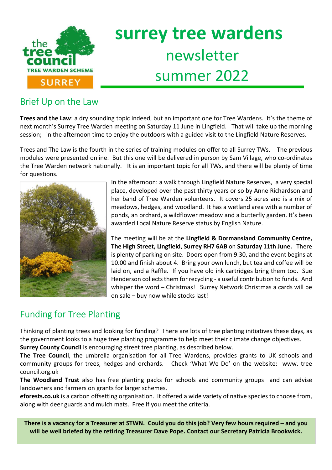

# **surrey tree wardens** newsletter summer 2022

# Brief Up on the Law

**Trees and the Law**: a dry sounding topic indeed, but an important one for Tree Wardens. It's the theme of next month's Surrey Tree Warden meeting on Saturday 11 June in Lingfield. That will take up the morning session; in the afternoon time to enjoy the outdoors with a guided visit to the Lingfield Nature Reserves.

Trees and The Law is the fourth in the series of training modules on offer to all Surrey TWs. The previous modules were presented online. But this one will be delivered in person by Sam Village, who co-ordinates the Tree Warden network nationally. It is an important topic for all TWs, and there will be plenty of time for questions.



In the afternoon: a walk through Lingfield Nature Reserves, a very special place, developed over the past thirty years or so by Anne Richardson and her band of Tree Warden volunteers. It covers 25 acres and is a mix of meadows, hedges, and woodland. It has a wetland area with a number of ponds, an orchard, a wildflower meadow and a butterfly garden. It's been awarded Local Nature Reserve status by English Nature.

The meeting will be at the **Lingfield & Dormansland Community Centre, The High Street, Lingfield**, **Surrey RH7 6AB** on **Saturday 11th June.** There is plenty of parking on site. Doors open from 9.30, and the event begins at 10.00 and finish about 4. Bring your own lunch, but tea and coffee will be laid on, and a Raffle. If you have old ink cartridges bring them too. Sue Henderson collects them for recycling - a useful contribution to funds. And whisper the word – Christmas! Surrey Network Christmas a cards will be on sale – buy now while stocks last!

# Funding for Tree Planting

Thinking of planting trees and looking for funding? There are lots of tree planting initiatives these days, as the government looks to a huge tree planting programme to help meet their climate change objectives.

**Surrey County Council** is encouraging street tree planting, as described below.

**The Tree Council**, the umbrella organisation for all Tree Wardens, provides grants to UK schools and community groups for trees, hedges and orchards. Check 'What We Do' on the website: www. tree council.org.uk

**The Woodland Trust** also has free planting packs for schools and community groups and can advise landowners and farmers on grants for larger schemes.

**eforests.co.uk** is a carbon offsetting organisation. It offered a wide variety of native species to choose from, along with deer guards and mulch mats. Free if you meet the criteria.

**There is a vacancy for a Treasurer at STWN. Could you do this job? Very few hours required – and you will be well briefed by the retiring Treasurer Dave Pope. Contact our Secretary Patricia Brookwick.**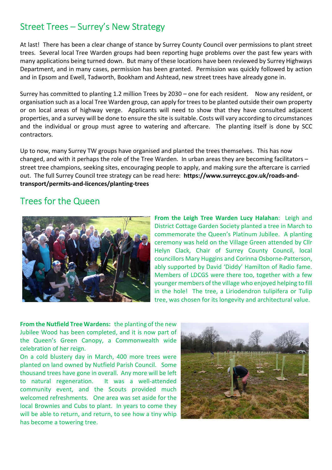## Street Trees – Surrey's New Strategy

At last! There has been a clear change of stance by Surrey County Council over permissions to plant street trees. Several local Tree Warden groups had been reporting huge problems over the past few years with many applications being turned down. But many of these locations have been reviewed by Surrey Highways Department, and in many cases, permission has been granted. Permission was quickly followed by action and in Epsom and Ewell, Tadworth, Bookham and Ashtead, new street trees have already gone in.

Surrey has committed to planting 1.2 million Trees by 2030 – one for each resident. Now any resident, or organisation such as a local Tree Warden group, can apply for trees to be planted outside their own property or on local areas of highway verge. Applicants will need to show that they have consulted adjacent properties, and a survey will be done to ensure the site is suitable. Costs will vary according to circumstances and the individual or group must agree to watering and aftercare. The planting itself is done by SCC contractors.

Up to now, many Surrey TW groups have organised and planted the trees themselves. This has now changed, and with it perhaps the role of the Tree Warden. In urban areas they are becoming facilitators – street tree champions, seeking sites, encouraging people to apply, and making sure the aftercare is carried out. The full Surrey Council tree strategy can be read here: **https://www.surreycc.gov.uk/roads-andtransport/permits-and-licences/planting-trees**

#### Trees for the Queen



**From the Leigh Tree Warden Lucy Halahan**: Leigh and District Cottage Garden Society planted a tree in March to commemorate the Queen's Platinum Jubilee. A planting ceremony was held on the Village Green attended by Cllr Helyn Clack, Chair of Surrey County Council, local councillors Mary Huggins and Corinna Osborne-Patterson, ably supported by David 'Diddy' Hamilton of Radio fame. Members of LDCGS were there too, together with a few younger members of the village who enjoyed helping to fill in the hole! The tree, a Liriodendron tulipifera or Tulip tree, was chosen for its longevity and architectural value.

**From the Nutfield Tree Wardens:** the planting of the new Jubilee Wood has been completed, and it is now part of the Queen's Green Canopy, a Commonwealth wide celebration of her reign.

On a cold blustery day in March, 400 more trees were planted on land owned by Nutfield Parish Council. Some thousand trees have gone in overall. Any more will be left to natural regeneration. It was a well-attended community event, and the Scouts provided much welcomed refreshments. One area was set aside for the local Brownies and Cubs to plant. In years to come they will be able to return, and return, to see how a tiny whip has become a towering tree.